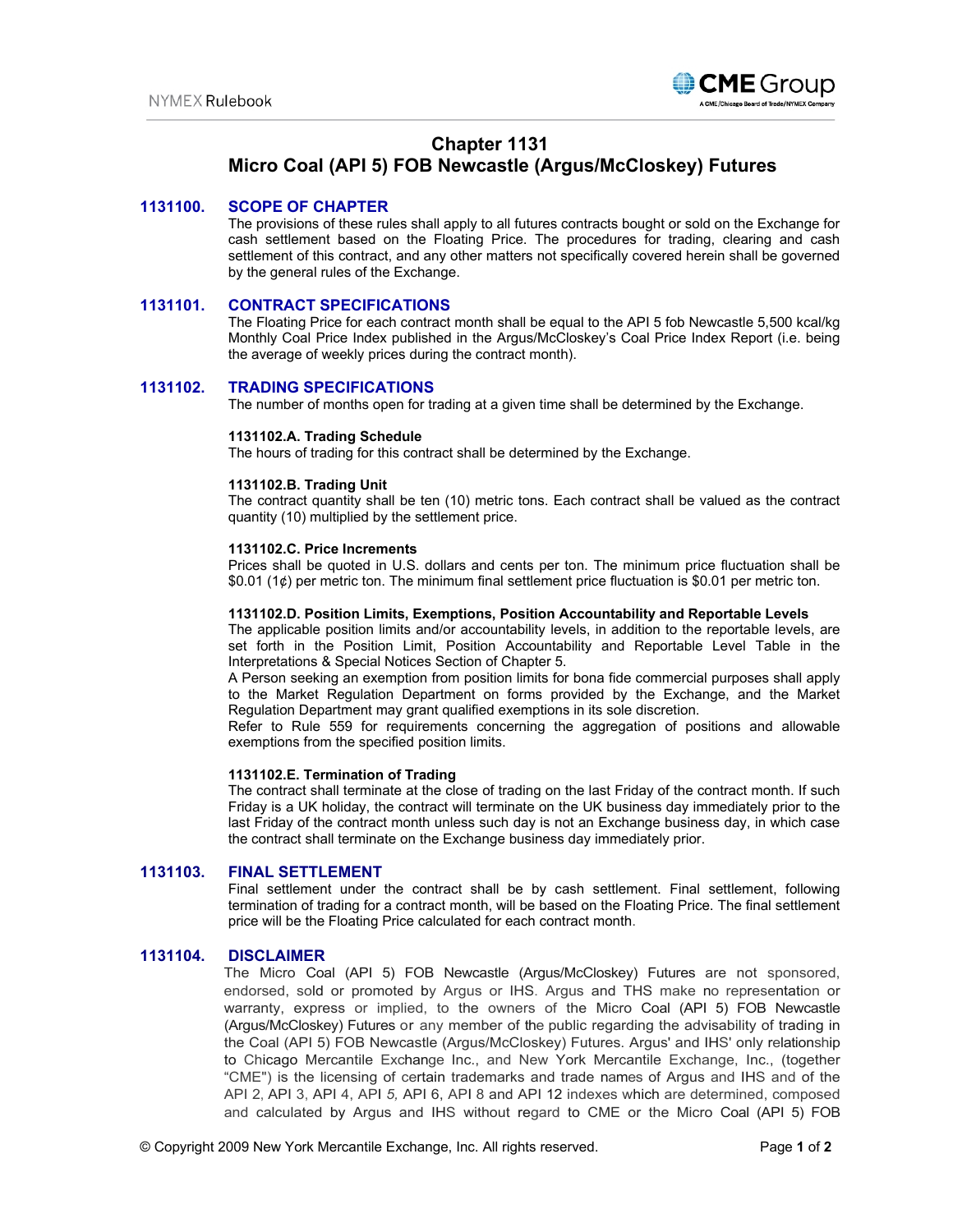

# **Chapter 1131**

# **Micro Coal (API 5) FOB Newcastle (Argus/McCloskey) Futures**

## **1131100. SCOPE OF CHAPTER**

The provisions of these rules shall apply to all futures contracts bought or sold on the Exchange for cash settlement based on the Floating Price. The procedures for trading, clearing and cash settlement of this contract, and any other matters not specifically covered herein shall be governed by the general rules of the Exchange.

## **1131101. CONTRACT SPECIFICATIONS**

The Floating Price for each contract month shall be equal to the API 5 fob Newcastle 5,500 kcal/kg Monthly Coal Price Index published in the Argus/McCloskey's Coal Price Index Report (i.e. being the average of weekly prices during the contract month).

# **1131102. TRADING SPECIFICATIONS**

The number of months open for trading at a given time shall be determined by the Exchange.

#### **1131102.A. Trading Schedule**

The hours of trading for this contract shall be determined by the Exchange.

#### **1131102.B. Trading Unit**

The contract quantity shall be ten (10) metric tons. Each contract shall be valued as the contract quantity (10) multiplied by the settlement price.

#### **1131102.C. Price Increments**

Prices shall be quoted in U.S. dollars and cents per ton. The minimum price fluctuation shall be \$0.01 (1¢) per metric ton. The minimum final settlement price fluctuation is \$0.01 per metric ton.

#### **1131102.D. Position Limits, Exemptions, Position Accountability and Reportable Levels**

The applicable position limits and/or accountability levels, in addition to the reportable levels, are set forth in the Position Limit, Position Accountability and Reportable Level Table in the Interpretations & Special Notices Section of Chapter 5.

A Person seeking an exemption from position limits for bona fide commercial purposes shall apply to the Market Regulation Department on forms provided by the Exchange, and the Market Regulation Department may grant qualified exemptions in its sole discretion.

Refer to Rule 559 for requirements concerning the aggregation of positions and allowable exemptions from the specified position limits.

#### **1131102.E. Termination of Trading**

The contract shall terminate at the close of trading on the last Friday of the contract month. If such Friday is a UK holiday, the contract will terminate on the UK business day immediately prior to the last Friday of the contract month unless such day is not an Exchange business day, in which case the contract shall terminate on the Exchange business day immediately prior.

### **1131103. FINAL SETTLEMENT**

Final settlement under the contract shall be by cash settlement. Final settlement, following termination of trading for a contract month, will be based on the Floating Price. The final settlement price will be the Floating Price calculated for each contract month.

### **1131104. DISCLAIMER**

The Micro Coal (API 5) FOB Newcastle (Argus/McCloskey) Futures are not sponsored, endorsed, sold or promoted by Argus or IHS. Argus and THS make no representation or warranty, express or implied, to the owners of the Micro Coal (API 5) FOB Newcastle (Argus/McCloskey) Futures or any member of the public regarding the advisability of trading in the Coal (API 5) FOB Newcastle (Argus/McCloskey) Futures. Argus' and IHS' only relationship to Chicago Mercantile Exchange Inc., and New York Mercantile Exchange, Inc., (together "CME") is the licensing of certain trademarks and trade names of Argus and IHS and of the API 2, API 3, API 4, API *5,* API 6, API 8 and API 12 indexes which are determined, composed and calculated by Argus and IHS without regard to CME or the Micro Coal (API 5) FOB